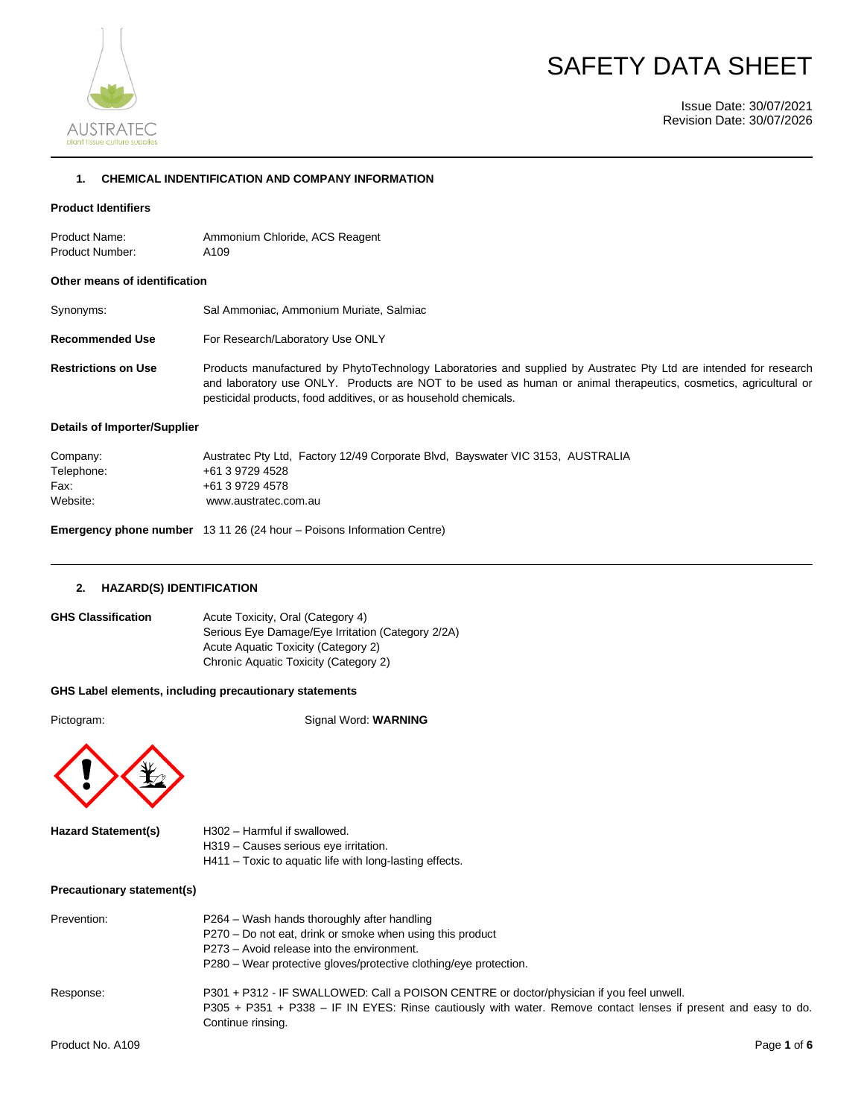

# SAFETY DATA SHEET

Issue Date: 30/07/2021 Revision Date: 30/07/2026

## **1. CHEMICAL INDENTIFICATION AND COMPANY INFORMATION**

### **Product Identifiers**

Product Name: Ammonium Chloride, ACS Reagent Product Number: A109

#### **Other means of identification**

| Synonyms: | Sal Ammoniac, Ammonium Muriate, Salmiac |  |
|-----------|-----------------------------------------|--|
|-----------|-----------------------------------------|--|

**Recommended Use** For Research/Laboratory Use ONLY

**Restrictions on Use** Products manufactured by PhytoTechnology Laboratories and supplied by Austratec Pty Ltd are intended for research and laboratory use ONLY. Products are NOT to be used as human or animal therapeutics, cosmetics, agricultural or pesticidal products, food additives, or as household chemicals.

## **Details of Importer/Supplier**

| Company:   | Austratec Pty Ltd. Factory 12/49 Corporate Blvd. Bayswater VIC 3153, AUSTRALIA |
|------------|--------------------------------------------------------------------------------|
| Telephone: | +61 3 9729 4528                                                                |
| Fax:       | +61 3 9729 4578                                                                |
| Website:   | www.austratec.com.au                                                           |

**Emergency phone number** 13 11 26 (24 hour – Poisons Information Centre)

#### **2. HAZARD(S) IDENTIFICATION**

| <b>GHS Classification</b> | Acute Toxicity, Oral (Category 4)                 |
|---------------------------|---------------------------------------------------|
|                           | Serious Eye Damage/Eye Irritation (Category 2/2A) |
|                           | Acute Aguatic Toxicity (Category 2)               |
|                           | Chronic Aquatic Toxicity (Category 2)             |

#### **GHS Label elements, including precautionary statements**

Pictogram: Signal Word: **WARNING** 



| <b>Hazard Statement(s)</b> | H302 - Harmful if swallowed.                            |
|----------------------------|---------------------------------------------------------|
|                            | H319 – Causes serious eve irritation.                   |
|                            | H411 – Toxic to aquatic life with long-lasting effects. |
|                            |                                                         |

#### **Precautionary statement(s)**

| Prevention:      | P264 – Wash hands thoroughly after handling<br>P270 – Do not eat, drink or smoke when using this product<br>P273 – Avoid release into the environment.<br>P280 – Wear protective gloves/protective clothing/eve protection.     |
|------------------|---------------------------------------------------------------------------------------------------------------------------------------------------------------------------------------------------------------------------------|
| Response:        | P301 + P312 - IF SWALLOWED: Call a POISON CENTRE or doctor/physician if you feel unwell.<br>P305 + P351 + P338 - IF IN EYES: Rinse cautiously with water. Remove contact lenses if present and easy to do.<br>Continue rinsing. |
| Product No. A109 | Page 1 of 6                                                                                                                                                                                                                     |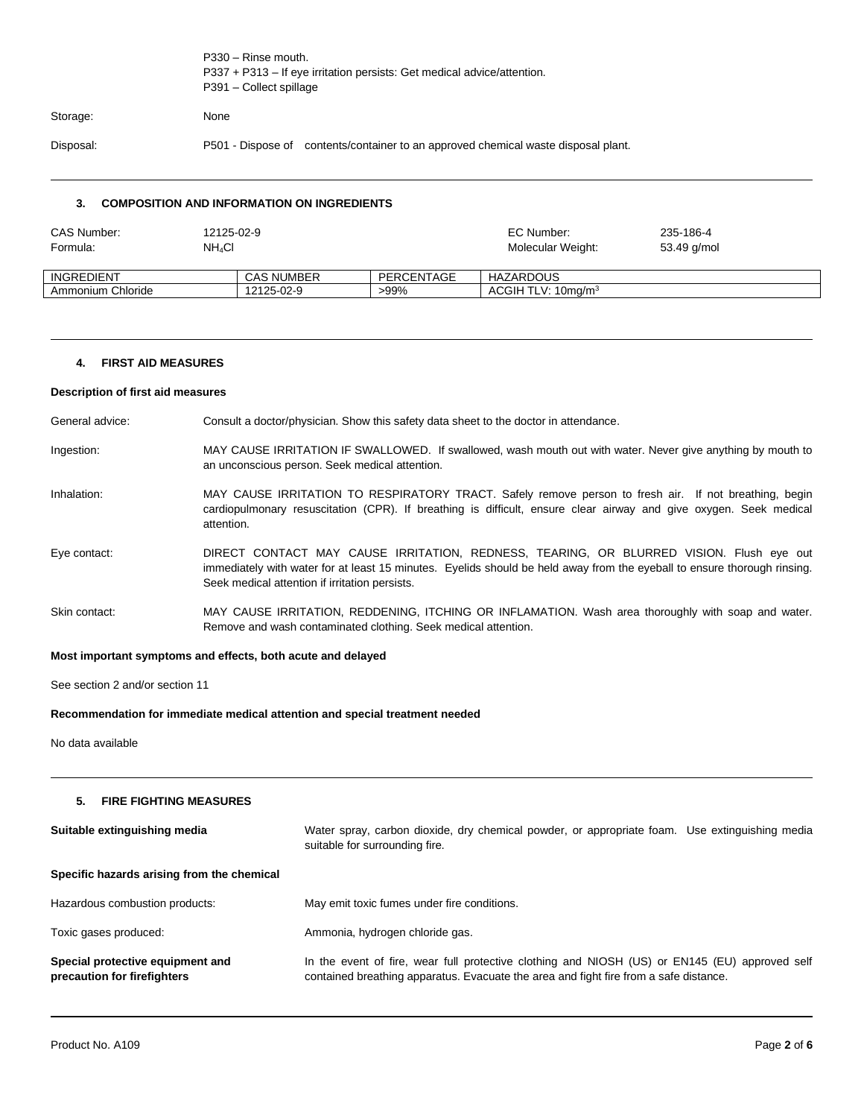|           | P330 - Rinse mouth.<br>P337 + P313 - If eye irritation persists: Get medical advice/attention.<br>P391 - Collect spillage |  |  |
|-----------|---------------------------------------------------------------------------------------------------------------------------|--|--|
| Storage:  | None                                                                                                                      |  |  |
| Disposal: | P501 - Dispose of contents/container to an approved chemical waste disposal plant.                                        |  |  |
|           |                                                                                                                           |  |  |

# **3. COMPOSITION AND INFORMATION ON INGREDIENTS**

| CAS Number:<br>Formula: | 12125-02-9<br>$NH_4Cl$ |                   |            | EC Number:<br>Molecular Weight: | 235-186-4   |
|-------------------------|------------------------|-------------------|------------|---------------------------------|-------------|
|                         |                        |                   |            |                                 | 53.49 g/mol |
| INGREDIENT              |                        | <b>CAS NUMBER</b> | PERCENTAGE | HAZARDOUS                       |             |
| Ammonium Chloride       |                        | 12125-02-9        | >99%       | ACGHTLV: 10ma/m <sup>3</sup>    |             |

#### **4. FIRST AID MEASURES**

#### **Description of first aid measures**

| General advice: | Consult a doctor/physician. Show this safety data sheet to the doctor in attendance. |  |  |  |
|-----------------|--------------------------------------------------------------------------------------|--|--|--|
|-----------------|--------------------------------------------------------------------------------------|--|--|--|

- Ingestion: MAY CAUSE IRRITATION IF SWALLOWED. If swallowed, wash mouth out with water. Never give anything by mouth to an unconscious person. Seek medical attention.
- Inhalation: MAY CAUSE IRRITATION TO RESPIRATORY TRACT. Safely remove person to fresh air. If not breathing, begin cardiopulmonary resuscitation (CPR). If breathing is difficult, ensure clear airway and give oxygen. Seek medical attention.
- Eye contact: DIRECT CONTACT MAY CAUSE IRRITATION, REDNESS, TEARING, OR BLURRED VISION. Flush eye out immediately with water for at least 15 minutes. Eyelids should be held away from the eyeball to ensure thorough rinsing. Seek medical attention if irritation persists.
- Skin contact: MAY CAUSE IRRITATION, REDDENING, ITCHING OR INFLAMATION. Wash area thoroughly with soap and water. Remove and wash contaminated clothing. Seek medical attention.

#### **Most important symptoms and effects, both acute and delayed**

See section 2 and/or section 11

#### **Recommendation for immediate medical attention and special treatment needed**

No data available

## **5. FIRE FIGHTING MEASURES**

| Suitable extinguishing media                                    | Water spray, carbon dioxide, dry chemical powder, or appropriate foam. Use extinguishing media<br>suitable for surrounding fire.                                                        |
|-----------------------------------------------------------------|-----------------------------------------------------------------------------------------------------------------------------------------------------------------------------------------|
| Specific hazards arising from the chemical                      |                                                                                                                                                                                         |
| Hazardous combustion products:                                  | May emit toxic fumes under fire conditions.                                                                                                                                             |
| Toxic gases produced:                                           | Ammonia, hydrogen chloride gas.                                                                                                                                                         |
| Special protective equipment and<br>precaution for firefighters | In the event of fire, wear full protective clothing and NIOSH (US) or EN145 (EU) approved self<br>contained breathing apparatus. Evacuate the area and fight fire from a safe distance. |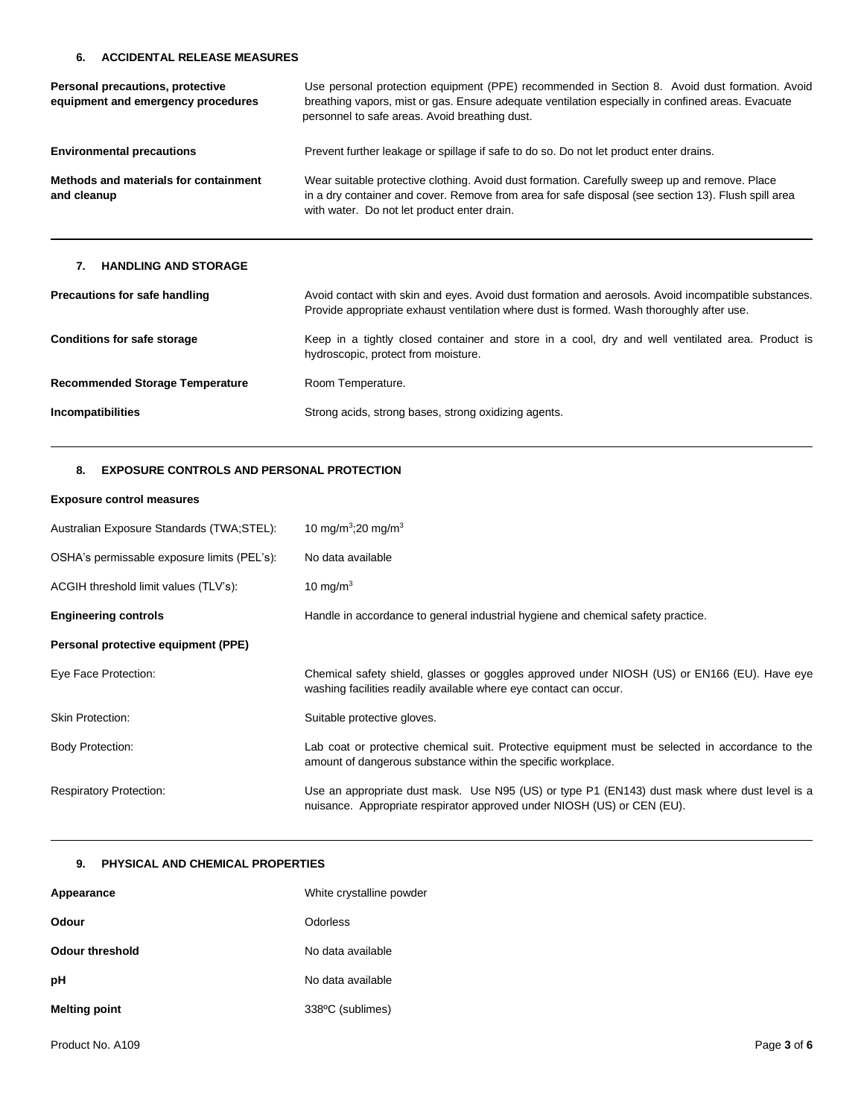## **6. ACCIDENTAL RELEASE MEASURES**

| Personal precautions, protective<br>equipment and emergency procedures | Use personal protection equipment (PPE) recommended in Section 8. Avoid dust formation. Avoid<br>breathing vapors, mist or gas. Ensure adequate ventilation especially in confined areas. Evacuate<br>personnel to safe areas. Avoid breathing dust. |
|------------------------------------------------------------------------|------------------------------------------------------------------------------------------------------------------------------------------------------------------------------------------------------------------------------------------------------|
| <b>Environmental precautions</b>                                       | Prevent further leakage or spillage if safe to do so. Do not let product enter drains.                                                                                                                                                               |
| Methods and materials for containment<br>and cleanup                   | Wear suitable protective clothing. Avoid dust formation. Carefully sweep up and remove. Place<br>in a dry container and cover. Remove from area for safe disposal (see section 13). Flush spill area<br>with water. Do not let product enter drain.  |
| <b>HANDLING AND STORAGE</b><br>7.                                      |                                                                                                                                                                                                                                                      |
| <b>Precautions for safe handling</b>                                   | Avoid contact with skin and eyes. Avoid dust formation and aerosols. Avoid incompatible substances.<br>Provide appropriate exhaust ventilation where dust is formed. Wash thoroughly after use.                                                      |
| <b>Conditions for safe storage</b>                                     | Keep in a tightly closed container and store in a cool, dry and well ventilated area. Product is<br>hydroscopic, protect from moisture.                                                                                                              |
| <b>Recommended Storage Temperature</b>                                 | Room Temperature.                                                                                                                                                                                                                                    |
| Incompatibilities                                                      | Strong acids, strong bases, strong oxidizing agents.                                                                                                                                                                                                 |

# **8. EXPOSURE CONTROLS AND PERSONAL PROTECTION**

## **Exposure control measures**

| Australian Exposure Standards (TWA;STEL):   | 10 mg/m <sup>3</sup> ;20 mg/m <sup>3</sup>                                                                                                                               |
|---------------------------------------------|--------------------------------------------------------------------------------------------------------------------------------------------------------------------------|
| OSHA's permissable exposure limits (PEL's): | No data available                                                                                                                                                        |
| ACGIH threshold limit values (TLV's):       | 10 mg/m $3$                                                                                                                                                              |
| <b>Engineering controls</b>                 | Handle in accordance to general industrial hygiene and chemical safety practice.                                                                                         |
| Personal protective equipment (PPE)         |                                                                                                                                                                          |
| Eye Face Protection:                        | Chemical safety shield, glasses or goggles approved under NIOSH (US) or EN166 (EU). Have eye<br>washing facilities readily available where eye contact can occur.        |
| <b>Skin Protection:</b>                     | Suitable protective gloves.                                                                                                                                              |
| <b>Body Protection:</b>                     | Lab coat or protective chemical suit. Protective equipment must be selected in accordance to the<br>amount of dangerous substance within the specific workplace.         |
| <b>Respiratory Protection:</b>              | Use an appropriate dust mask. Use N95 (US) or type P1 (EN143) dust mask where dust level is a<br>nuisance. Appropriate respirator approved under NIOSH (US) or CEN (EU). |

# **9. PHYSICAL AND CHEMICAL PROPERTIES**

| Appearance             | White crystalline powder |
|------------------------|--------------------------|
| Odour                  | Odorless                 |
| <b>Odour threshold</b> | No data available        |
| рH                     | No data available        |
| <b>Melting point</b>   | 338°C (sublimes)         |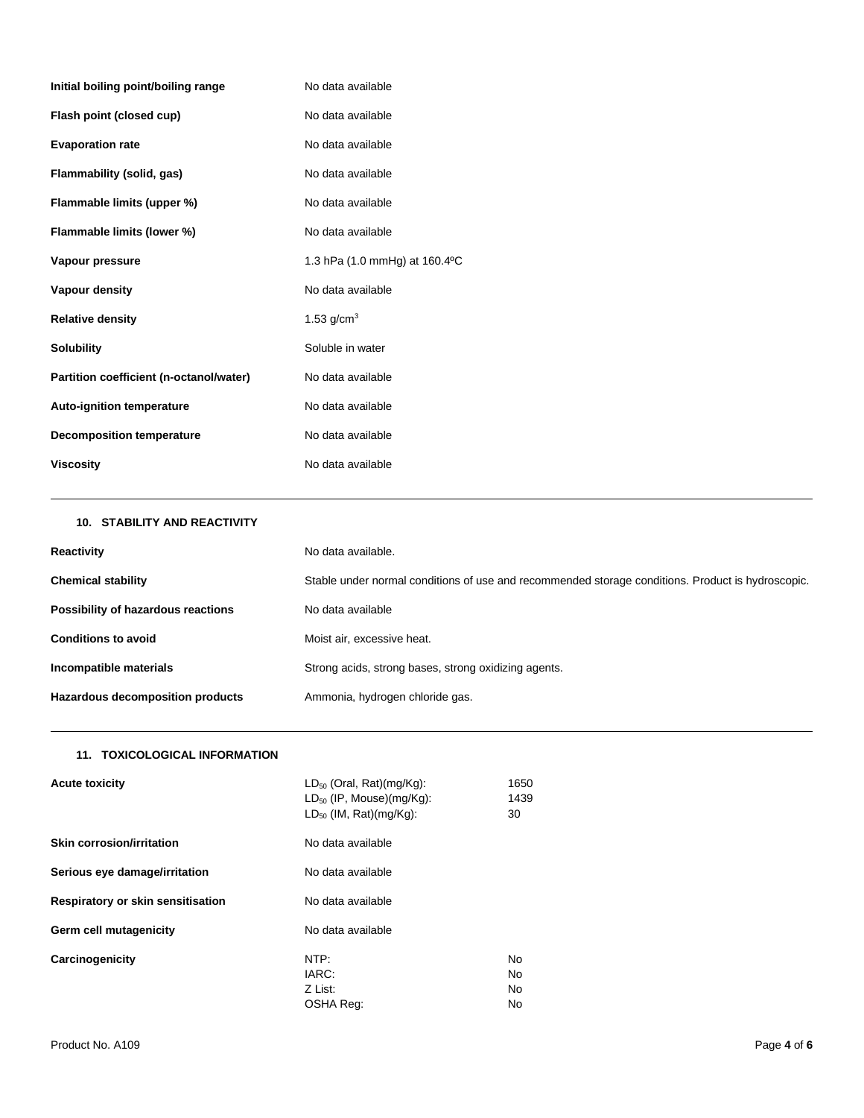| Initial boiling point/boiling range     | No data available             |
|-----------------------------------------|-------------------------------|
| Flash point (closed cup)                | No data available             |
| <b>Evaporation rate</b>                 | No data available             |
| Flammability (solid, gas)               | No data available             |
| Flammable limits (upper %)              | No data available             |
| Flammable limits (lower %)              | No data available             |
| Vapour pressure                         | 1.3 hPa (1.0 mmHg) at 160.4°C |
|                                         |                               |
| Vapour density                          | No data available             |
| <b>Relative density</b>                 | 1.53 $q/cm3$                  |
| <b>Solubility</b>                       | Soluble in water              |
| Partition coefficient (n-octanol/water) | No data available             |
| Auto-ignition temperature               | No data available             |
| <b>Decomposition temperature</b>        | No data available             |

| <b>10. STABILITY AND REACTIVITY</b> |                                                                                                   |
|-------------------------------------|---------------------------------------------------------------------------------------------------|
| Reactivity                          | No data available.                                                                                |
| <b>Chemical stability</b>           | Stable under normal conditions of use and recommended storage conditions. Product is hydroscopic. |
| Possibility of hazardous reactions  | No data available                                                                                 |
| <b>Conditions to avoid</b>          | Moist air, excessive heat.                                                                        |
| Incompatible materials              | Strong acids, strong bases, strong oxidizing agents.                                              |
| Hazardous decomposition products    | Ammonia, hydrogen chloride gas.                                                                   |

# **11. TOXICOLOGICAL INFORMATION**

| <b>Acute toxicity</b>             | $LD_{50}$ (Oral, Rat)(mg/Kg):<br>$LD_{50}$ (IP, Mouse)(mg/Kg):<br>$LD_{50}$ (IM, Rat)(mg/Kg): | 1650<br>1439<br>30                 |
|-----------------------------------|-----------------------------------------------------------------------------------------------|------------------------------------|
| <b>Skin corrosion/irritation</b>  | No data available                                                                             |                                    |
| Serious eye damage/irritation     | No data available                                                                             |                                    |
| Respiratory or skin sensitisation | No data available                                                                             |                                    |
| Germ cell mutagenicity            | No data available                                                                             |                                    |
| Carcinogenicity                   | NTP:<br>IARC:<br>Z List:<br>OSHA Req:                                                         | <b>No</b><br><b>No</b><br>No<br>No |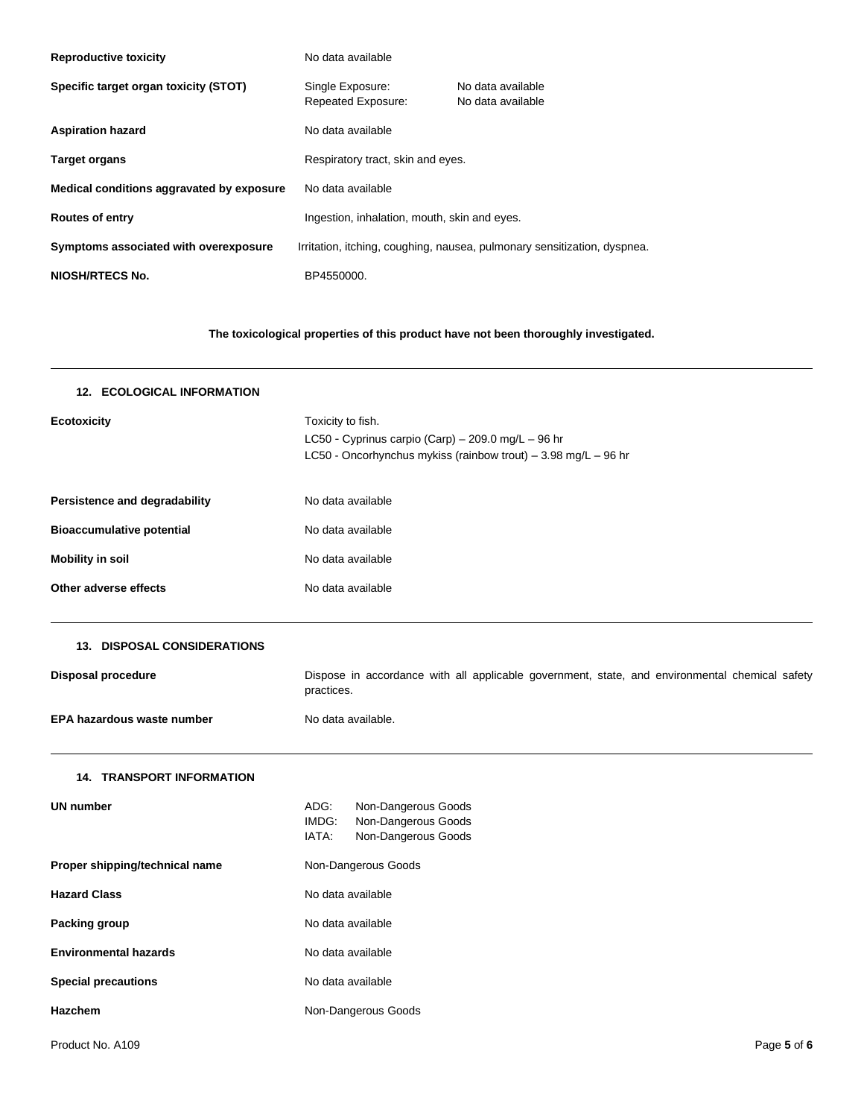| <b>Reproductive toxicity</b>              | No data available                                                        |                                        |
|-------------------------------------------|--------------------------------------------------------------------------|----------------------------------------|
| Specific target organ toxicity (STOT)     | Single Exposure:<br>Repeated Exposure:                                   | No data available<br>No data available |
| <b>Aspiration hazard</b>                  | No data available                                                        |                                        |
| <b>Target organs</b>                      | Respiratory tract, skin and eyes.                                        |                                        |
| Medical conditions aggravated by exposure | No data available                                                        |                                        |
| <b>Routes of entry</b>                    | Ingestion, inhalation, mouth, skin and eyes.                             |                                        |
| Symptoms associated with overexposure     | Irritation, itching, coughing, nausea, pulmonary sensitization, dyspnea. |                                        |
| <b>NIOSH/RTECS No.</b>                    | BP4550000.                                                               |                                        |

**The toxicological properties of this product have not been thoroughly investigated.**

| <b>12. ECOLOGICAL INFORMATION</b>    |                                                                                                                                           |  |  |
|--------------------------------------|-------------------------------------------------------------------------------------------------------------------------------------------|--|--|
| <b>Ecotoxicity</b>                   | Toxicity to fish.<br>LC50 - Cyprinus carpio (Carp) - 209.0 mg/L - 96 hr<br>LC50 - Oncorhynchus mykiss (rainbow trout) - 3.98 mg/L - 96 hr |  |  |
| <b>Persistence and degradability</b> | No data available                                                                                                                         |  |  |
| <b>Bioaccumulative potential</b>     | No data available                                                                                                                         |  |  |
| <b>Mobility in soil</b>              | No data available                                                                                                                         |  |  |
| Other adverse effects                | No data available                                                                                                                         |  |  |
| 13. DISPOSAL CONSIDERATIONS          |                                                                                                                                           |  |  |
| <b>Disposal procedure</b>            | Dispose in accordance with all applicable government, state, and environmental chemical safety<br>practices.                              |  |  |
| EPA hazardous waste number           | No data available.                                                                                                                        |  |  |
| <b>14. TRANSPORT INFORMATION</b>     |                                                                                                                                           |  |  |
| <b>UN number</b>                     | ADG:<br>Non-Dangerous Goods<br>IMDG:<br>Non-Dangerous Goods<br>IATA:<br>Non-Dangerous Goods                                               |  |  |
| Proper shipping/technical name       | Non-Dangerous Goods                                                                                                                       |  |  |
| <b>Hazard Class</b>                  | No data available                                                                                                                         |  |  |
| Packing group                        | No data available                                                                                                                         |  |  |
| <b>Environmental hazards</b>         | No data available                                                                                                                         |  |  |
| <b>Special precautions</b>           | No data available                                                                                                                         |  |  |
| <b>Hazchem</b>                       | Non-Dangerous Goods                                                                                                                       |  |  |